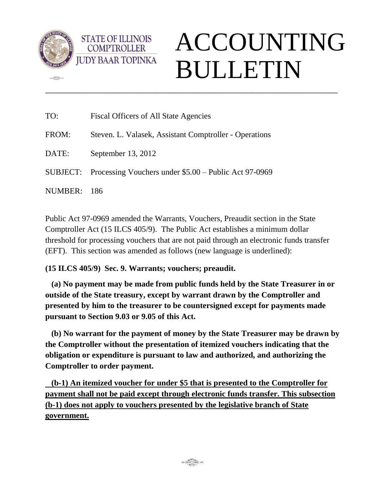

 $m$ 

**STATE OF ILLINOIS COMPTROLLER** 

## ACCOUNTING BULLETIN

| TO:     | Fiscal Officers of All State Agencies                           |
|---------|-----------------------------------------------------------------|
| FROM:   | Steven. L. Valasek, Assistant Comptroller - Operations          |
| DATE:   | September 13, 2012                                              |
|         | SUBJECT: Processing Vouchers under $$5.00 -$ Public Act 97-0969 |
| NUMBER: | - 186                                                           |

Public Act 97-0969 amended the Warrants, Vouchers, Preaudit section in the State Comptroller Act (15 ILCS 405/9). The Public Act establishes a minimum dollar threshold for processing vouchers that are not paid through an electronic funds transfer (EFT). This section was amended as follows (new language is underlined):

\_\_\_\_\_\_\_\_\_\_\_\_\_\_\_\_\_\_\_\_\_\_\_\_\_\_\_\_\_\_\_\_\_\_\_\_\_\_\_\_\_\_\_\_\_\_\_\_\_\_\_\_\_\_\_\_\_\_\_\_\_\_\_\_\_\_\_\_\_\_\_\_\_\_\_\_\_\_\_\_\_\_\_\_\_

**(15 ILCS 405/9) Sec. 9. Warrants; vouchers; preaudit.** 

 **(a) No payment may be made from public funds held by the State Treasurer in or outside of the State treasury, except by warrant drawn by the Comptroller and presented by him to the treasurer to be countersigned except for payments made pursuant to Section 9.03 or 9.05 of this Act.** 

 **(b) No warrant for the payment of money by the State Treasurer may be drawn by the Comptroller without the presentation of itemized vouchers indicating that the obligation or expenditure is pursuant to law and authorized, and authorizing the Comptroller to order payment.** 

 **(b-1) An itemized voucher for under \$5 that is presented to the Comptroller for payment shall not be paid except through electronic funds transfer. This subsection (b-1) does not apply to vouchers presented by the legislative branch of State government.**